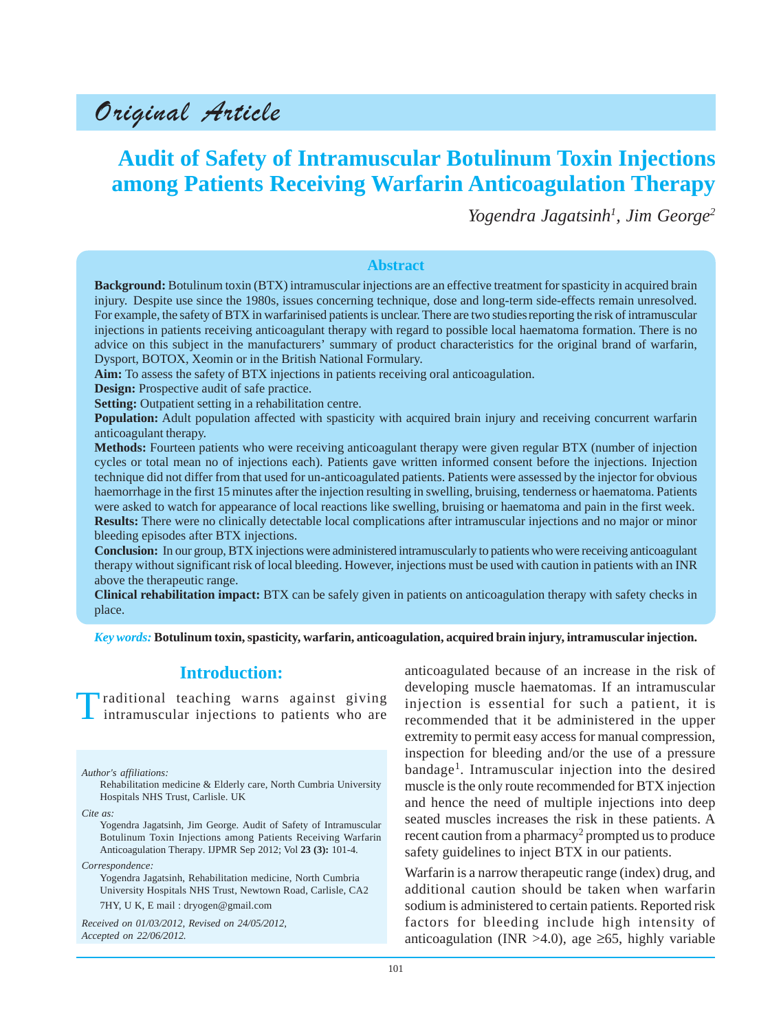# Original Article

## **Audit of Safety of Intramuscular Botulinum Toxin Injections among Patients Receiving Warfarin Anticoagulation Therapy**

*Yogendra Jagatsinh1 , Jim George2*

#### **Abstract**

**Background:** Botulinum toxin (BTX) intramuscular injections are an effective treatment for spasticity in acquired brain injury. Despite use since the 1980s, issues concerning technique, dose and long-term side-effects remain unresolved. For example, the safety of BTX in warfarinised patients is unclear. There are two studiesreporting the risk of intramuscular injections in patients receiving anticoagulant therapy with regard to possible local haematoma formation. There is no advice on this subject in the manufacturers' summary of product characteristics for the original brand of warfarin, Dysport, BOTOX, Xeomin or in the British National Formulary.

**Aim:** To assess the safety of BTX injections in patients receiving oral anticoagulation.

**Design:** Prospective audit of safe practice.

**Setting:** Outpatient setting in a rehabilitation centre.

**Population:** Adult population affected with spasticity with acquired brain injury and receiving concurrent warfarin anticoagulant therapy.

**Methods:** Fourteen patients who were receiving anticoagulant therapy were given regular BTX (number of injection cycles or total mean no of injections each). Patients gave written informed consent before the injections. Injection technique did not differ from that used for un-anticoagulated patients. Patients were assessed by the injector for obvious haemorrhage in the first 15 minutes after the injection resulting in swelling, bruising, tenderness or haematoma. Patients were asked to watch for appearance of local reactions like swelling, bruising or haematoma and pain in the first week. **Results:** There were no clinically detectable local complications after intramuscular injections and no major or minor bleeding episodes after BTX injections.

**Conclusion:** In our group, BTX injections were administered intramuscularly to patients who were receiving anticoagulant therapy without significant risk of local bleeding. However, injections must be used with caution in patients with an INR above the therapeutic range.

**Clinical rehabilitation impact:** BTX can be safely given in patients on anticoagulation therapy with safety checks in place.

*Key words:* **Botulinum toxin, spasticity, warfarin, anticoagulation, acquired brain injury, intramuscular injection.**

## **Introduction:**

Iraditional teaching warns against giving intramuscular injections to patients who are

*Author's affiliations:*

Rehabilitation medicine & Elderly care, North Cumbria University Hospitals NHS Trust, Carlisle. UK

*Cite as:*

Yogendra Jagatsinh, Jim George. Audit of Safety of Intramuscular Botulinum Toxin Injections among Patients Receiving Warfarin Anticoagulation Therapy. IJPMR Sep 2012; Vol **23 (3):** 101-4.

*Correspondence:*

Yogendra Jagatsinh, Rehabilitation medicine, North Cumbria University Hospitals NHS Trust, Newtown Road, Carlisle, CA2 7HY, U K, E mail : dryogen@gmail.com

*Received on 01/03/2012, Revised on 24/05/2012, Accepted on 22/06/2012.*

anticoagulated because of an increase in the risk of developing muscle haematomas. If an intramuscular injection is essential for such a patient, it is recommended that it be administered in the upper extremity to permit easy access for manual compression, inspection for bleeding and/or the use of a pressure bandage<sup>1</sup>. Intramuscular injection into the desired muscle is the only route recommended for BTX injection and hence the need of multiple injections into deep seated muscles increases the risk in these patients. A recent caution from a pharmacy<sup>2</sup> prompted us to produce safety guidelines to inject BTX in our patients.

Warfarin is a narrow therapeutic range (index) drug, and additional caution should be taken when warfarin sodium is administered to certain patients. Reported risk factors for bleeding include high intensity of anticoagulation (INR >4.0), age  $\geq 65$ , highly variable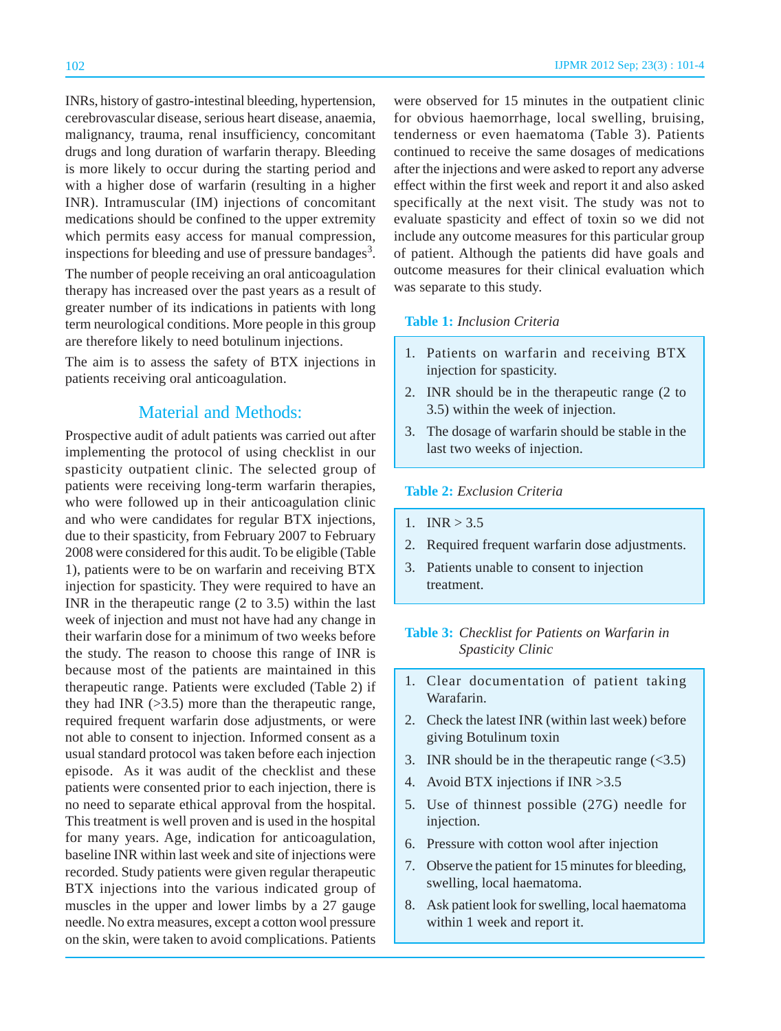INRs, history of gastro-intestinal bleeding, hypertension, cerebrovascular disease, serious heart disease, anaemia, malignancy, trauma, renal insufficiency, concomitant drugs and long duration of warfarin therapy. Bleeding is more likely to occur during the starting period and with a higher dose of warfarin (resulting in a higher INR). Intramuscular (IM) injections of concomitant medications should be confined to the upper extremity which permits easy access for manual compression, inspections for bleeding and use of pressure bandages<sup>3</sup>.

The number of people receiving an oral anticoagulation therapy has increased over the past years as a result of greater number of its indications in patients with long term neurological conditions. More people in this group are therefore likely to need botulinum injections.

The aim is to assess the safety of BTX injections in patients receiving oral anticoagulation.

## Material and Methods:

Prospective audit of adult patients was carried out after implementing the protocol of using checklist in our spasticity outpatient clinic. The selected group of patients were receiving long-term warfarin therapies, who were followed up in their anticoagulation clinic and who were candidates for regular BTX injections, due to their spasticity, from February 2007 to February 2008 were considered for this audit. To be eligible (Table 1), patients were to be on warfarin and receiving BTX injection for spasticity. They were required to have an INR in the therapeutic range (2 to 3.5) within the last week of injection and must not have had any change in their warfarin dose for a minimum of two weeks before the study. The reason to choose this range of INR is because most of the patients are maintained in this therapeutic range. Patients were excluded (Table 2) if they had INR  $(>3.5)$  more than the therapeutic range, required frequent warfarin dose adjustments, or were not able to consent to injection. Informed consent as a usual standard protocol was taken before each injection episode. As it was audit of the checklist and these patients were consented prior to each injection, there is no need to separate ethical approval from the hospital. This treatment is well proven and is used in the hospital for many years. Age, indication for anticoagulation, baseline INR within last week and site of injections were recorded. Study patients were given regular therapeutic BTX injections into the various indicated group of muscles in the upper and lower limbs by a 27 gauge needle. No extra measures, except a cotton wool pressure on the skin, were taken to avoid complications. Patients

were observed for 15 minutes in the outpatient clinic for obvious haemorrhage, local swelling, bruising, tenderness or even haematoma (Table 3). Patients continued to receive the same dosages of medications after the injections and were asked to report any adverse effect within the first week and report it and also asked specifically at the next visit. The study was not to evaluate spasticity and effect of toxin so we did not include any outcome measures for this particular group of patient. Although the patients did have goals and outcome measures for their clinical evaluation which was separate to this study.

#### **Table 1:** *Inclusion Criteria*

- 1. Patients on warfarin and receiving BTX injection for spasticity.
- 2. INR should be in the therapeutic range (2 to 3.5) within the week of injection.
- 3. The dosage of warfarin should be stable in the last two weeks of injection.

#### **Table 2:** *Exclusion Criteria*

- 1.  $INR > 3.5$
- 2. Required frequent warfarin dose adjustments.
- 3. Patients unable to consent to injection treatment.

### **Table 3:** *Checklist for Patients on Warfarin in Spasticity Clinic*

- 1. Clear documentation of patient taking Warafarin.
- 2. Check the latest INR (within last week) before giving Botulinum toxin
- 3. INR should be in the therapeutic range  $(\leq 3.5)$
- 4. Avoid BTX injections if INR >3.5
- 5. Use of thinnest possible (27G) needle for injection.
- 6. Pressure with cotton wool after injection
- 7. Observe the patient for 15 minutes for bleeding, swelling, local haematoma.
- 8. Ask patient look for swelling, local haematoma within 1 week and report it.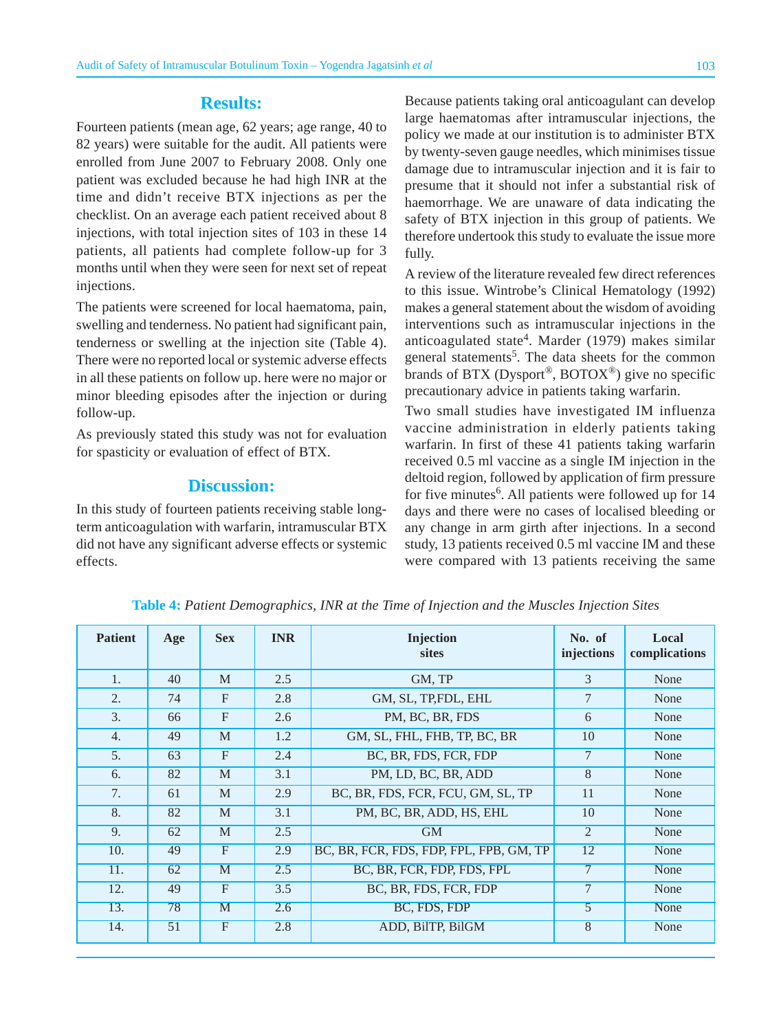## **Results:**

Fourteen patients (mean age, 62 years; age range, 40 to 82 years) were suitable for the audit. All patients were enrolled from June 2007 to February 2008. Only one patient was excluded because he had high INR at the time and didn't receive BTX injections as per the checklist. On an average each patient received about 8 injections, with total injection sites of 103 in these 14 patients, all patients had complete follow-up for 3 months until when they were seen for next set of repeat injections.

The patients were screened for local haematoma, pain, swelling and tenderness. No patient had significant pain, tenderness or swelling at the injection site (Table 4). There were no reported local or systemic adverse effects in all these patients on follow up. here were no major or minor bleeding episodes after the injection or during follow-up.

As previously stated this study was not for evaluation for spasticity or evaluation of effect of BTX.

## **Discussion:**

In this study of fourteen patients receiving stable longterm anticoagulation with warfarin, intramuscular BTX did not have any significant adverse effects or systemic effects.

Because patients taking oral anticoagulant can develop large haematomas after intramuscular injections, the policy we made at our institution is to administer BTX by twenty-seven gauge needles, which minimises tissue damage due to intramuscular injection and it is fair to presume that it should not infer a substantial risk of haemorrhage. We are unaware of data indicating the safety of BTX injection in this group of patients. We therefore undertook this study to evaluate the issue more fully.

A review of the literature revealed few direct references to this issue. Wintrobe's Clinical Hematology (1992) makes a general statement about the wisdom of avoiding interventions such as intramuscular injections in the anticoagulated state<sup>4</sup>. Marder (1979) makes similar general statements<sup>5</sup>. The data sheets for the common brands of BTX (Dysport<sup>®</sup>, BOTOX<sup>®</sup>) give no specific precautionary advice in patients taking warfarin.

Two small studies have investigated IM influenza vaccine administration in elderly patients taking warfarin. In first of these 41 patients taking warfarin received 0.5 ml vaccine as a single IM injection in the deltoid region, followed by application of firm pressure for five minutes<sup>6</sup>. All patients were followed up for 14 days and there were no cases of localised bleeding or any change in arm girth after injections. In a second study, 13 patients received 0.5 ml vaccine IM and these were compared with 13 patients receiving the same

| <b>Patient</b>   | Age | <b>Sex</b>     | <b>INR</b> | <b>Injection</b><br><b>sites</b>        | No. of<br>injections | Local<br>complications |
|------------------|-----|----------------|------------|-----------------------------------------|----------------------|------------------------|
| 1.               | 40  | M              | 2.5        | GM, TP                                  | 3                    | None                   |
| $\overline{2}$ . | 74  | $\mathbf{F}$   | 2.8        | GM, SL, TP,FDL, EHL                     | 7                    | None                   |
| $\mathfrak{Z}$ . | 66  | F              | 2.6        | PM, BC, BR, FDS                         | 6                    | None                   |
| $\overline{4}$ . | 49  | M              | 1.2        | GM, SL, FHL, FHB, TP, BC, BR            | 10                   | None                   |
| $\overline{5}$ . | 63  | $\overline{F}$ | 2.4        | BC, BR, FDS, FCR, FDP                   | $\overline{7}$       | None                   |
| 6.               | 82  | M              | 3.1        | PM, LD, BC, BR, ADD                     | 8                    | None                   |
| 7.               | 61  | M              | 2.9        | BC, BR, FDS, FCR, FCU, GM, SL, TP       | 11                   | None                   |
| 8.               | 82  | M              | 3.1        | PM, BC, BR, ADD, HS, EHL                | 10                   | None                   |
| 9.               | 62  | M              | 2.5        | <b>GM</b>                               | 2                    | None                   |
| 10.              | 49  | $\overline{F}$ | 2.9        | BC, BR, FCR, FDS, FDP, FPL, FPB, GM, TP | 12                   | None                   |
| 11.              | 62  | M              | 2.5        | BC, BR, FCR, FDP, FDS, FPL              | $\overline{7}$       | None                   |
| 12.              | 49  | $\overline{F}$ | 3.5        | BC, BR, FDS, FCR, FDP                   | $\overline{7}$       | None                   |
| 13.              | 78  | M              | 2.6        | BC, FDS, FDP                            | $\overline{5}$       | None                   |
| 14.              | 51  | $\overline{F}$ | 2.8        | ADD, BilTP, BilGM                       | $\overline{8}$       | None                   |

**Table 4:** *Patient Demographics, INR at the Time of Injection and the Muscles Injection Sites*